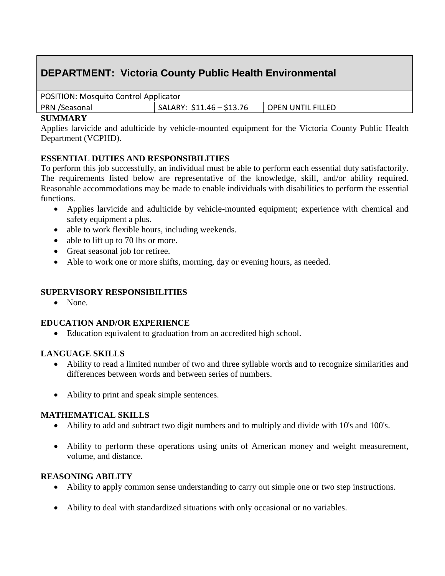# **DEPARTMENT: Victoria County Public Health Environmental**

| Position in coquito contributippiloator |                           |                   |
|-----------------------------------------|---------------------------|-------------------|
| PRN /Seasonal                           | $SALARY: $11.46 - $13.76$ | OPEN UNTIL FILLED |
|                                         |                           |                   |

#### **SUMMARY**

Applies larvicide and adulticide by vehicle-mounted equipment for the Victoria County Public Health Department (VCPHD).

## **ESSENTIAL DUTIES AND RESPONSIBILITIES**

To perform this job successfully, an individual must be able to perform each essential duty satisfactorily. The requirements listed below are representative of the knowledge, skill, and/or ability required. Reasonable accommodations may be made to enable individuals with disabilities to perform the essential functions.

- Applies larvicide and adulticide by vehicle-mounted equipment; experience with chemical and safety equipment a plus.
- able to work flexible hours, including weekends.
- able to lift up to 70 lbs or more.
- Great seasonal job for retiree.
- Able to work one or more shifts, morning, day or evening hours, as needed.

# **SUPERVISORY RESPONSIBILITIES**

• None.

## **EDUCATION AND/OR EXPERIENCE**

Education equivalent to graduation from an accredited high school.

## **LANGUAGE SKILLS**

- Ability to read a limited number of two and three syllable words and to recognize similarities and differences between words and between series of numbers.
- Ability to print and speak simple sentences.

## **MATHEMATICAL SKILLS**

- Ability to add and subtract two digit numbers and to multiply and divide with 10's and 100's.
- Ability to perform these operations using units of American money and weight measurement, volume, and distance.

# **REASONING ABILITY**

- Ability to apply common sense understanding to carry out simple one or two step instructions.
- Ability to deal with standardized situations with only occasional or no variables.